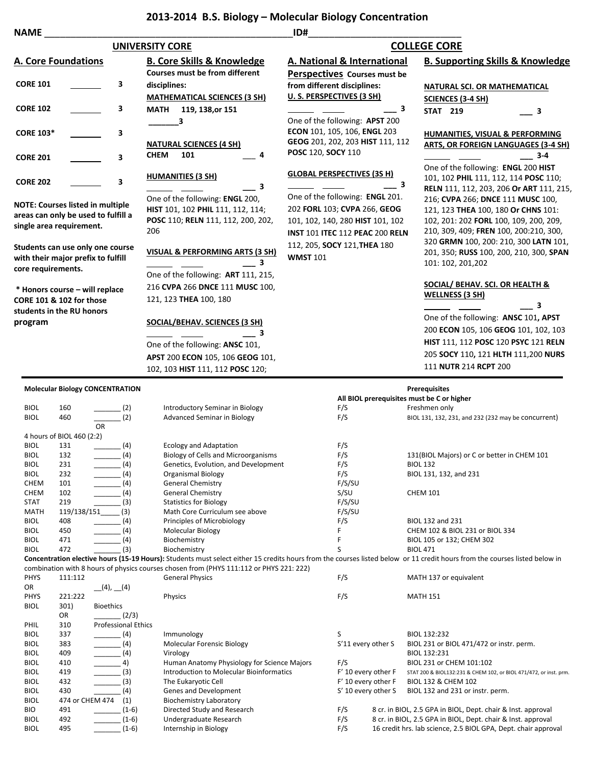## **2013-2014 B.S. Biology – Molecular Biology Concentration**

| <b>NAME</b>                                                                                                                                                 | ID#                                                                                                                                       |                                                                                                                                               |                                                                                                                                                                                                                                                          |  |  |
|-------------------------------------------------------------------------------------------------------------------------------------------------------------|-------------------------------------------------------------------------------------------------------------------------------------------|-----------------------------------------------------------------------------------------------------------------------------------------------|----------------------------------------------------------------------------------------------------------------------------------------------------------------------------------------------------------------------------------------------------------|--|--|
|                                                                                                                                                             | <b>UNIVERSITY CORE</b>                                                                                                                    | <b>COLLEGE CORE</b>                                                                                                                           |                                                                                                                                                                                                                                                          |  |  |
| <b>A. Core Foundations</b>                                                                                                                                  | <b>B. Core Skills &amp; Knowledge</b><br>Courses must be from different                                                                   | A. National & International<br>Perspectives Courses must be                                                                                   | <b>B. Supporting Skills &amp; Knowledge</b>                                                                                                                                                                                                              |  |  |
| <b>CORE 101</b><br>3                                                                                                                                        | disciplines:<br><b>MATHEMATICAL SCIENCES (3 SH)</b>                                                                                       | from different disciplines:<br>U. S. PERSPECTIVES (3 SH)                                                                                      | <b>NATURAL SCI. OR MATHEMATICAL</b><br><b>SCIENCES (3-4 SH)</b>                                                                                                                                                                                          |  |  |
| <b>CORE 102</b><br>3                                                                                                                                        | MATH 119, 138, or 151                                                                                                                     | $\overline{\phantom{a}}$ 3                                                                                                                    | <b>STAT 219</b><br>3                                                                                                                                                                                                                                     |  |  |
| <b>CORE 103*</b><br>3                                                                                                                                       | 3<br><b>NATURAL SCIENCES (4 SH)</b>                                                                                                       | One of the following: APST 200<br>ECON 101, 105, 106, ENGL 203<br>GEOG 201, 202, 203 HIST 111, 112<br>POSC 120, SOCY 110                      | HUMANITIES, VISUAL & PERFORMING<br>ARTS, OR FOREIGN LANGUAGES (3-4 SH)                                                                                                                                                                                   |  |  |
| <b>CORE 201</b><br>3<br>3<br><b>CORE 202</b>                                                                                                                | <b>CHEM</b><br>101<br>4<br><b>GLOBAL PERSPECTIVES (3S H)</b><br><b>HUMANITIES (3 SH)</b><br>$\overline{\mathbf{3}}$<br>3                  |                                                                                                                                               | $3 - 4$<br>One of the following: ENGL 200 HIST<br>101, 102 PHIL 111, 112, 114 POSC 110;<br>RELN 111, 112, 203, 206 Or ART 111, 215,                                                                                                                      |  |  |
| <b>NOTE: Courses listed in multiple</b><br>areas can only be used to fulfill a<br>single area requirement.                                                  | One of the following: ENGL 200,<br>HIST 101, 102 PHIL 111, 112, 114;<br>POSC 110; RELN 111, 112, 200, 202,<br>206                         | One of the following: ENGL 201.<br>202 FORL 103; CVPA 266, GEOG<br>101, 102, 140, 280 HIST 101, 102<br><b>INST 101 ITEC 112 PEAC 200 RELN</b> | 216; CVPA 266; DNCE 111 MUSC 100,<br>121, 123 THEA 100, 180 Or CHNS 101:<br>102, 201: 202 FORL 100, 109, 200, 209,<br>210, 309, 409; FREN 100, 200:210, 300,                                                                                             |  |  |
| Students can use only one course<br>with their major prefix to fulfill<br>core requirements.                                                                | <b>VISUAL &amp; PERFORMING ARTS (3 SH)</b><br>3                                                                                           | 112, 205, SOCY 121, THEA 180<br><b>WMST 101</b>                                                                                               | 320 GRMN 100, 200: 210, 300 LATN 101,<br>201, 350; RUSS 100, 200, 210, 300, SPAN<br>101: 102, 201, 202<br>SOCIAL/ BEHAV. SCI. OR HEALTH &<br><b>WELLNESS (3 SH)</b><br>з<br>One of the following: ANSC 101, APST<br>200 ECON 105, 106 GEOG 101, 102, 103 |  |  |
| * Honors course - will replace<br><b>CORE 101 &amp; 102 for those</b><br>students in the RU honors<br>program                                               | One of the following: ART 111, 215,<br>216 CVPA 266 DNCE 111 MUSC 100,<br>121, 123 THEA 100, 180<br><b>SOCIAL/BEHAV. SCIENCES (3 SH)</b>  |                                                                                                                                               |                                                                                                                                                                                                                                                          |  |  |
|                                                                                                                                                             | 3<br>One of the following: ANSC 101,<br>APST 200 ECON 105, 106 GEOG 101,<br>102, 103 HIST 111, 112 POSC 120;                              |                                                                                                                                               | HIST 111, 112 POSC 120 PSYC 121 RELN<br>205 SOCY 110, 121 HLTH 111,200 NURS<br>111 NUTR 214 RCPT 200                                                                                                                                                     |  |  |
| <b>Molecular Biology CONCENTRATION</b>                                                                                                                      |                                                                                                                                           |                                                                                                                                               | <b>Prerequisites</b>                                                                                                                                                                                                                                     |  |  |
| <b>BIOL</b><br>160<br>$\frac{1}{2}$ (2)<br>460<br>(2)<br><b>BIOL</b><br><b>OR</b>                                                                           | Introductory Seminar in Biology<br><b>Advanced Seminar in Biology</b>                                                                     | All BIOL prerequisites must be C or higher<br>F/S<br>F/S                                                                                      | Freshmen only<br>BIOL 131, 132, 231, and 232 (232 may be CONCUTTENT)                                                                                                                                                                                     |  |  |
| 4 hours of BIOL 460 (2:2)<br><b>BIOL</b><br>131<br>(4)<br>132<br>$\frac{1}{2}$ (4)<br><b>BIOL</b><br><b>BIOL</b><br>231<br>(4)<br>232<br>(4)<br><b>BIOL</b> | <b>Ecology and Adaptation</b><br>Biology of Cells and Microorganisms<br>Genetics, Evolution, and Development<br><b>Organismal Biology</b> | F/S<br>F/S<br>F/S<br>F/S                                                                                                                      | 131(BIOL Majors) or C or better in CHEM 101<br><b>BIOL 132</b><br>BIOL 131, 132, and 231                                                                                                                                                                 |  |  |

|             |                           | <b>OR</b>                  |                                                                                                                                                                            |        |                     |                                                                   |
|-------------|---------------------------|----------------------------|----------------------------------------------------------------------------------------------------------------------------------------------------------------------------|--------|---------------------|-------------------------------------------------------------------|
|             | 4 hours of BIOL 460 (2:2) |                            |                                                                                                                                                                            |        |                     |                                                                   |
| <b>BIOL</b> | 131                       | (4)                        | <b>Ecology and Adaptation</b>                                                                                                                                              | F/S    |                     |                                                                   |
| <b>BIOL</b> | 132                       | (4)                        | <b>Biology of Cells and Microorganisms</b>                                                                                                                                 | F/S    |                     | 131(BIOL Majors) or C or better in CHEM 101                       |
| <b>BIOL</b> | 231                       | (4)                        | Genetics, Evolution, and Development                                                                                                                                       | F/S    |                     | <b>BIOL 132</b>                                                   |
| <b>BIOL</b> | 232                       | (4)                        | <b>Organismal Biology</b>                                                                                                                                                  | F/S    |                     | BIOL 131, 132, and 231                                            |
| <b>CHEM</b> | 101                       | (4)                        | <b>General Chemistry</b>                                                                                                                                                   | F/S/SU |                     |                                                                   |
| <b>CHEM</b> | 102                       | (4)                        | <b>General Chemistry</b>                                                                                                                                                   | S/SU   |                     | <b>CHEM 101</b>                                                   |
| <b>STAT</b> | 219                       | (3)                        | <b>Statistics for Biology</b>                                                                                                                                              | F/S/SU |                     |                                                                   |
| <b>MATH</b> | 119/138/151               | (3)                        | Math Core Curriculum see above                                                                                                                                             | F/S/SU |                     |                                                                   |
| <b>BIOL</b> | 408                       | (4)                        | Principles of Microbiology                                                                                                                                                 | F/S    |                     | BIOL 132 and 231                                                  |
| <b>BIOL</b> | 450                       | (4)                        | Molecular Biology                                                                                                                                                          | F      |                     | CHEM 102 & BIOL 231 or BIOL 334                                   |
| <b>BIOL</b> | 471                       | (4)                        | Biochemistry                                                                                                                                                               | F      |                     | BIOL 105 or 132; CHEM 302                                         |
| <b>BIOL</b> | 472                       | (3)                        | Biochemistry                                                                                                                                                               | S      |                     | <b>BIOL 471</b>                                                   |
|             |                           |                            | Concentration elective hours (15-19 Hours): Students must select either 15 credits hours from the courses listed below or 11 credit hours from the courses listed below in |        |                     |                                                                   |
|             |                           |                            | combination with 8 hours of physics courses chosen from (PHYS 111:112 or PHYS 221: 222)                                                                                    |        |                     |                                                                   |
| <b>PHYS</b> | 111:112                   |                            | <b>General Physics</b>                                                                                                                                                     | F/S    |                     | MATH 137 or equivalent                                            |
| OR          |                           | (4), (4)                   |                                                                                                                                                                            |        |                     |                                                                   |
| <b>PHYS</b> | 221:222                   |                            | Physics                                                                                                                                                                    | F/S    |                     | <b>MATH 151</b>                                                   |
| <b>BIOL</b> | 301)                      | <b>Bioethics</b>           |                                                                                                                                                                            |        |                     |                                                                   |
|             | <b>OR</b>                 | (2/3)                      |                                                                                                                                                                            |        |                     |                                                                   |
| PHIL        | 310                       | <b>Professional Ethics</b> |                                                                                                                                                                            |        |                     |                                                                   |
| <b>BIOL</b> | 337                       | (4)                        | Immunology                                                                                                                                                                 | S      |                     | BIOL 132:232                                                      |
| <b>BIOL</b> | 383                       | (4)                        | <b>Molecular Forensic Biology</b>                                                                                                                                          |        | S'11 every other S  | BIOL 231 or BIOL 471/472 or instr. perm.                          |
| <b>BIOL</b> | 409                       | (4)                        | Virology                                                                                                                                                                   |        |                     | BIOL 132:231                                                      |
| <b>BIOL</b> | 410                       | 4)                         | Human Anatomy Physiology for Science Majors                                                                                                                                | F/S    |                     | BIOL 231 or CHEM 101:102                                          |
| <b>BIOL</b> | 419                       | (3)                        | Introduction to Molecular Bioinformatics                                                                                                                                   |        | F' 10 every other F | STAT 200 & BIOL132:231 & CHEM 102, or BIOL 471/472, or inst. prm. |
| <b>BIOL</b> | 432                       | (3)                        | The Eukaryotic Cell                                                                                                                                                        |        | F' 10 every other F | <b>BIOL 132 &amp; CHEM 102</b>                                    |
| <b>BIOL</b> | 430                       | (4)                        | Genes and Development                                                                                                                                                      |        | S' 10 every other S | BIOL 132 and 231 or instr. perm.                                  |
| <b>BIOL</b> | 474 or CHEM 474           | (1)                        | <b>Biochemistry Laboratory</b>                                                                                                                                             |        |                     |                                                                   |
| <b>BIO</b>  | 491                       | $(1-6)$                    | Directed Study and Research                                                                                                                                                | F/S    |                     | 8 cr. in BIOL, 2.5 GPA in BIOL, Dept. chair & Inst. approval      |
| <b>BIOL</b> | 492                       | $(1-6)$                    | Undergraduate Research                                                                                                                                                     | F/S    |                     | 8 cr. in BIOL, 2.5 GPA in BIOL, Dept. chair & Inst. approval      |
| <b>BIOL</b> | 495                       | $(1-6)$                    | Internship in Biology                                                                                                                                                      | F/S    |                     | 16 credit hrs. lab science, 2.5 BIOL GPA, Dept. chair approval    |